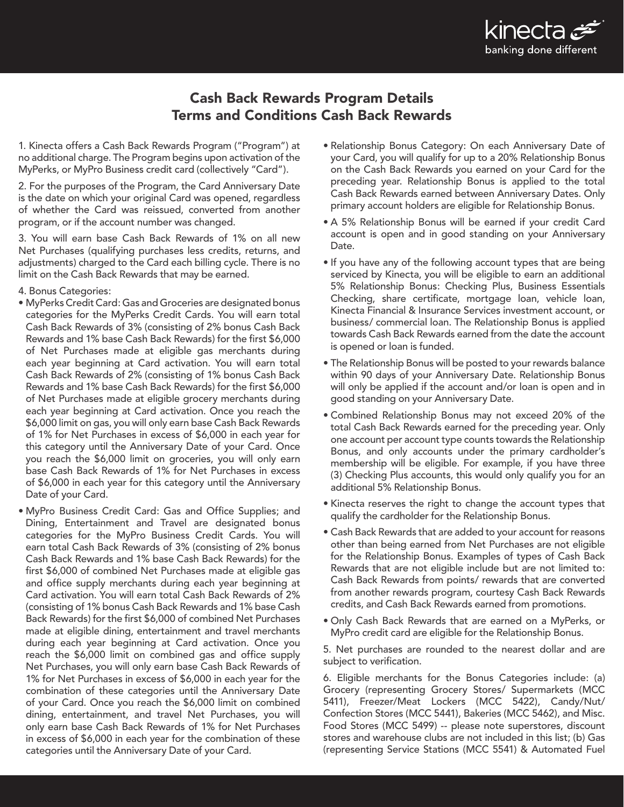

## Cash Back Rewards Program Details Terms and Conditions Cash Back Rewards

1. Kinecta offers a Cash Back Rewards Program ("Program") at no additional charge. The Program begins upon activation of the MyPerks, or MyPro Business credit card (collectively "Card").

2. For the purposes of the Program, the Card Anniversary Date is the date on which your original Card was opened, regardless of whether the Card was reissued, converted from another program, or if the account number was changed.

3. You will earn base Cash Back Rewards of 1% on all new Net Purchases (qualifying purchases less credits, returns, and adjustments) charged to the Card each billing cycle. There is no limit on the Cash Back Rewards that may be earned.

- 4. Bonus Categories:
- MyPerks Credit Card: Gas and Groceries are designated bonus categories for the MyPerks Credit Cards. You will earn total Cash Back Rewards of 3% (consisting of 2% bonus Cash Back Rewards and 1% base Cash Back Rewards) for the first \$6,000 of Net Purchases made at eligible gas merchants during each year beginning at Card activation. You will earn total Cash Back Rewards of 2% (consisting of 1% bonus Cash Back Rewards and 1% base Cash Back Rewards) for the first \$6,000 of Net Purchases made at eligible grocery merchants during each year beginning at Card activation. Once you reach the \$6,000 limit on gas, you will only earn base Cash Back Rewards of 1% for Net Purchases in excess of \$6,000 in each year for this category until the Anniversary Date of your Card. Once you reach the \$6,000 limit on groceries, you will only earn base Cash Back Rewards of 1% for Net Purchases in excess of \$6,000 in each year for this category until the Anniversary Date of your Card.
- MyPro Business Credit Card: Gas and Office Supplies; and Dining, Entertainment and Travel are designated bonus categories for the MyPro Business Credit Cards. You will earn total Cash Back Rewards of 3% (consisting of 2% bonus Cash Back Rewards and 1% base Cash Back Rewards) for the first \$6,000 of combined Net Purchases made at eligible gas and office supply merchants during each year beginning at Card activation. You will earn total Cash Back Rewards of 2% (consisting of 1% bonus Cash Back Rewards and 1% base Cash Back Rewards) for the first \$6,000 of combined Net Purchases made at eligible dining, entertainment and travel merchants during each year beginning at Card activation. Once you reach the \$6,000 limit on combined gas and office supply Net Purchases, you will only earn base Cash Back Rewards of 1% for Net Purchases in excess of \$6,000 in each year for the combination of these categories until the Anniversary Date of your Card. Once you reach the \$6,000 limit on combined dining, entertainment, and travel Net Purchases, you will only earn base Cash Back Rewards of 1% for Net Purchases in excess of \$6,000 in each year for the combination of these categories until the Anniversary Date of your Card.
- Relationship Bonus Category: On each Anniversary Date of your Card, you will qualify for up to a 20% Relationship Bonus on the Cash Back Rewards you earned on your Card for the preceding year. Relationship Bonus is applied to the total Cash Back Rewards earned between Anniversary Dates. Only primary account holders are eligible for Relationship Bonus.
- A 5% Relationship Bonus will be earned if your credit Card account is open and in good standing on your Anniversary Date.
- If you have any of the following account types that are being serviced by Kinecta, you will be eligible to earn an additional 5% Relationship Bonus: Checking Plus, Business Essentials Checking, share certificate, mortgage loan, vehicle loan, Kinecta Financial & Insurance Services investment account, or business/ commercial loan. The Relationship Bonus is applied towards Cash Back Rewards earned from the date the account is opened or loan is funded.
- The Relationship Bonus will be posted to your rewards balance within 90 days of your Anniversary Date. Relationship Bonus will only be applied if the account and/or loan is open and in good standing on your Anniversary Date.
- Combined Relationship Bonus may not exceed 20% of the total Cash Back Rewards earned for the preceding year. Only one account per account type counts towards the Relationship Bonus, and only accounts under the primary cardholder's membership will be eligible. For example, if you have three (3) Checking Plus accounts, this would only qualify you for an additional 5% Relationship Bonus.
- Kinecta reserves the right to change the account types that qualify the cardholder for the Relationship Bonus.
- Cash Back Rewards that are added to your account for reasons other than being earned from Net Purchases are not eligible for the Relationship Bonus. Examples of types of Cash Back Rewards that are not eligible include but are not limited to: Cash Back Rewards from points/ rewards that are converted from another rewards program, courtesy Cash Back Rewards credits, and Cash Back Rewards earned from promotions.
- Only Cash Back Rewards that are earned on a MyPerks, or MyPro credit card are eligible for the Relationship Bonus.

5. Net purchases are rounded to the nearest dollar and are subject to verification.

6. Eligible merchants for the Bonus Categories include: (a) Grocery (representing Grocery Stores/ Supermarkets (MCC 5411), Freezer/Meat Lockers (MCC 5422), Candy/Nut/ Confection Stores (MCC 5441), Bakeries (MCC 5462), and Misc. Food Stores (MCC 5499) -- please note superstores, discount stores and warehouse clubs are not included in this list; (b) Gas (representing Service Stations (MCC 5541) & Automated Fuel